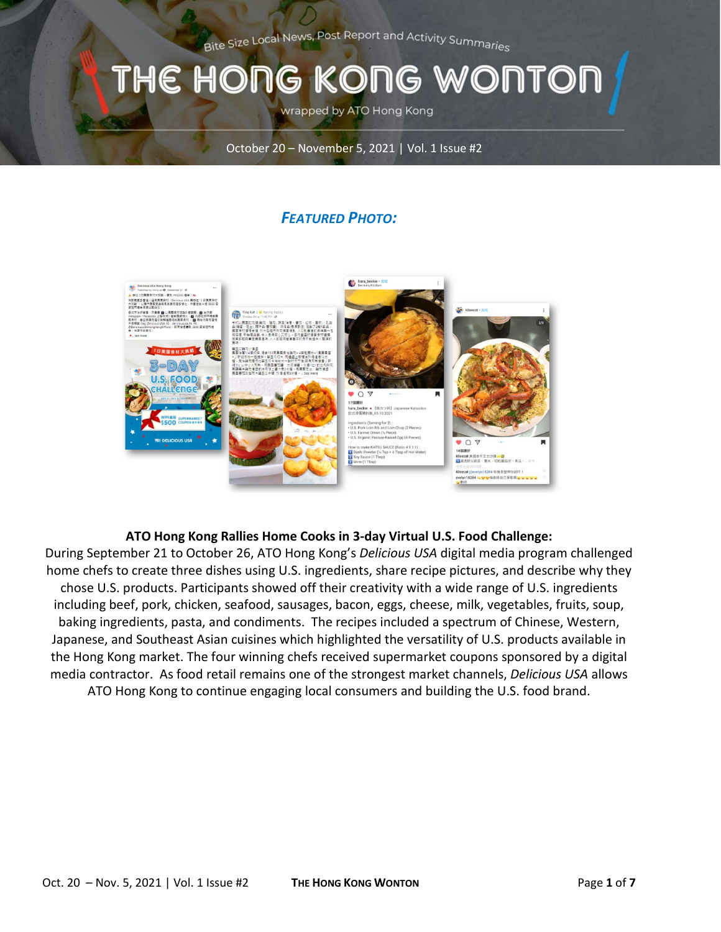Bite Size Local News, Post Report and Activity Summarie<sub>s</sub>

## THE HONG KONG WONTOI

wrapped by ATO Hong Kong

October 20 – November 5, 2021 | Vol. 1 Issue #2

### *FEATURED PHOTO:*



#### **ATO Hong Kong Rallies Home Cooks in 3-day Virtual U.S. Food Challenge:**

During September 21 to October 26, ATO Hong Kong's *Delicious USA* digital media program challenged home chefs to create three dishes using U.S. ingredients, share recipe pictures, and describe why they chose U.S. products. Participants showed off their creativity with a wide range of U.S. ingredients including beef, pork, chicken, seafood, sausages, bacon, eggs, cheese, milk, vegetables, fruits, soup, baking ingredients, pasta, and condiments. The recipes included a spectrum of Chinese, Western, Japanese, and Southeast Asian cuisines which highlighted the versatility of U.S. products available in the Hong Kong market. The four winning chefs received supermarket coupons sponsored by a digital media contractor. As food retail remains one of the strongest market channels, *Delicious USA* allows ATO Hong Kong to continue engaging local consumers and building the U.S. food brand.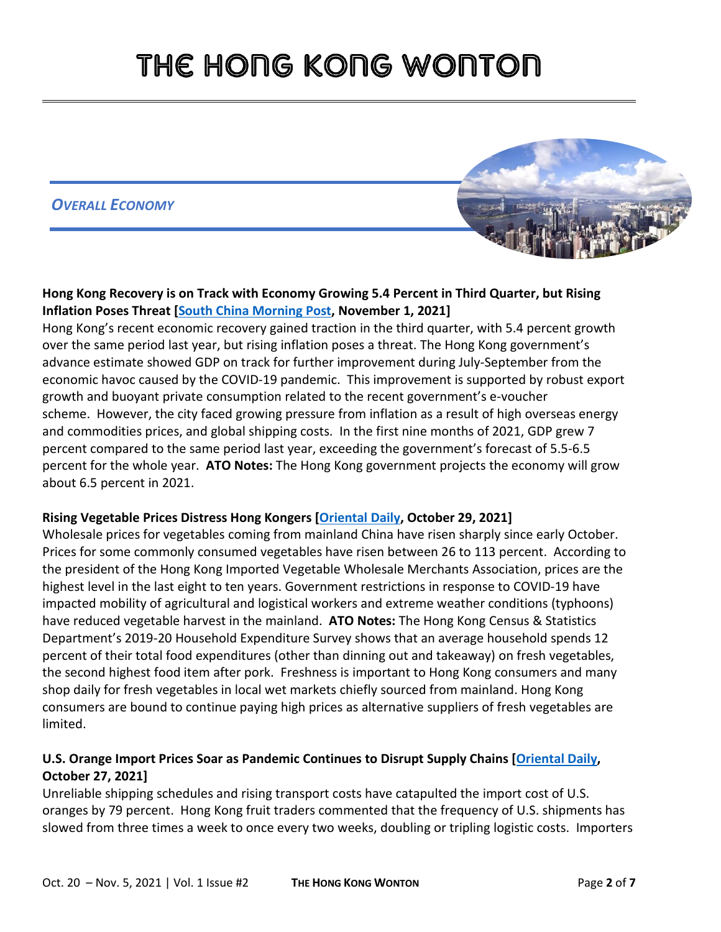### *OVERALL ECONOMY*



#### **Hong Kong Recovery is on Track with Economy Growing 5.4 Percent in Third Quarter, but Rising Inflation Poses Threat [\[South China Morning Post,](https://gcc02.safelinks.protection.outlook.com/?url=https%3A%2F%2Fwww.scmp.com%2Fnews%2Fhong-kong%2Fhong-kong-economy%2Farticle%2F3154444%2Fhong-kong-recovery-track-economy-growing-54-cent&data=04%7C01%7CCleverJA%40state.gov%7C8f51a18190cd45c1fda508d9a00568ba%7C66cf50745afe48d1a691a12b2121f44b%7C0%7C0%7C637716767353632607%7CUnknown%7CTWFpbGZsb3d8eyJWIjoiMC4wLjAwMDAiLCJQIjoiV2luMzIiLCJBTiI6Ik1haWwiLCJXVCI6Mn0%3D%7C1000&sdata=dBwjoim1Ccpzo5VAViTpLtUYfQyb%2Bz9pNaid9Hw9gvQ%3D&reserved=0) November 1, 2021]**

Hong Kong's recent economic recovery gained traction in the third quarter, with 5.4 percent growth over the same period last year, but rising inflation poses a threat. The Hong Kong government's advance estimate showed GDP on track for further improvement during July-September from the economic havoc caused by the [COVID-19 pandemic.](https://gcc02.safelinks.protection.outlook.com/?url=https%3A%2F%2Fwww.scmp.com%2Ftopics%2Fcoronavirus-pandemic%3Fmodule%3Dlead_hero_story%26pgtype%3Dhomepage%26module%3Dinline%26pgtype%3Darticle&data=04%7C01%7CCleverJA%40state.gov%7C8f51a18190cd45c1fda508d9a00568ba%7C66cf50745afe48d1a691a12b2121f44b%7C0%7C0%7C637716767353632607%7CUnknown%7CTWFpbGZsb3d8eyJWIjoiMC4wLjAwMDAiLCJQIjoiV2luMzIiLCJBTiI6Ik1haWwiLCJXVCI6Mn0%3D%7C1000&sdata=%2FbibuOcXYZn6r2VQqYVGx387u0FR6rPiEevV0OUXtpQ%3D&reserved=0) This improvement is supported by robust export growth and buoyant private consumption related to the recent government's e-voucher scheme. However, the city faced growing pressure from inflation as a result of high overseas energy and commodities prices, and global shipping costs. In the first nine months of 2021, GDP grew 7 percent compared to the same period last year, exceeding the government's forecast of 5.5-6.5 percent for the whole year. **ATO Notes:** The Hong Kong government projects the economy will grow about 6.5 percent in 2021.

#### **Rising Vegetable Prices Distress Hong Kongers [\[Oriental Daily,](https://gcc02.safelinks.protection.outlook.com/?url=https%3A%2F%2Forientaldaily.on.cc%2Fcontent%2F%25E8%25A6%2581%25E8%2581%259E%25E6%25B8%25AF%25E8%2581%259E%2Fodn-20211029-1029_00174_001%2F%25E8%258F%259C%25E5%2583%25B9%25E7%258B%2582%25E6%25BC%25B2--%25E5%259F%25BA%25E5%25B1%25A4%25E6%2583%2586%25E6%2582%25B5&data=04%7C01%7CCleverJA%40state.gov%7C85503cdbcaf74e73e06b08d99e789070%7C66cf50745afe48d1a691a12b2121f44b%7C0%7C0%7C637715062918778301%7CUnknown%7CTWFpbGZsb3d8eyJWIjoiMC4wLjAwMDAiLCJQIjoiV2luMzIiLCJBTiI6Ik1haWwiLCJXVCI6Mn0%3D%7C1000&sdata=16KDd3SHOJJNXfJlyR84xtuxGzPor%2BmFTeDNnlEmyaw%3D&reserved=0) October 29, 2021]**

Wholesale prices for vegetables coming from mainland China have risen sharply since early October. Prices for some commonly consumed vegetables have risen between 26 to 113 percent. According to the president of the Hong Kong Imported Vegetable Wholesale Merchants Association, prices are the highest level in the last eight to ten years. Government restrictions in response to COVID-19 have impacted mobility of agricultural and logistical workers and extreme weather conditions (typhoons) have reduced vegetable harvest in the mainland. **ATO Notes:** The Hong Kong Census & Statistics Department's 2019-20 Household Expenditure Survey shows that an average household spends 12 percent of their total food expenditures (other than dinning out and takeaway) on fresh vegetables, the second highest food item after pork. Freshness is important to Hong Kong consumers and many shop daily for fresh vegetables in local wet markets chiefly sourced from mainland. Hong Kong consumers are bound to continue paying high prices as alternative suppliers of fresh vegetables are limited.

### **U.S. Orange Import Prices Soar as Pandemic Continues to Disrupt Supply Chains [\[Oriental Daily,](https://orientaldaily.on.cc/content/%E8%A6%81%E8%81%9E%E6%B8%AF%E8%81%9E/odn-20211027-1027_00176_041/%E7%96%AB%E6%83%85%E6%89%93%E4%BA%82%E4%BE%9B%E6%87%89%E9%8F%88--%E9%A3%9F%E4%B9%9C%E9%83%BD%E8%B2%B4--%E9%9B%9E%E7%BF%BC%E6%BC%B2%E5%83%B9-%E3%80%8C%E6%A9%99%E3%80%8D%E4%B8%8D%E5%BF%8D%E7%9D%B9) October 27, 2021]**

Unreliable shipping schedules and rising transport costs have catapulted the import cost of U.S. oranges by 79 percent. Hong Kong fruit traders commented that the frequency of U.S. shipments has slowed from three times a week to once every two weeks, doubling or tripling logistic costs. Importers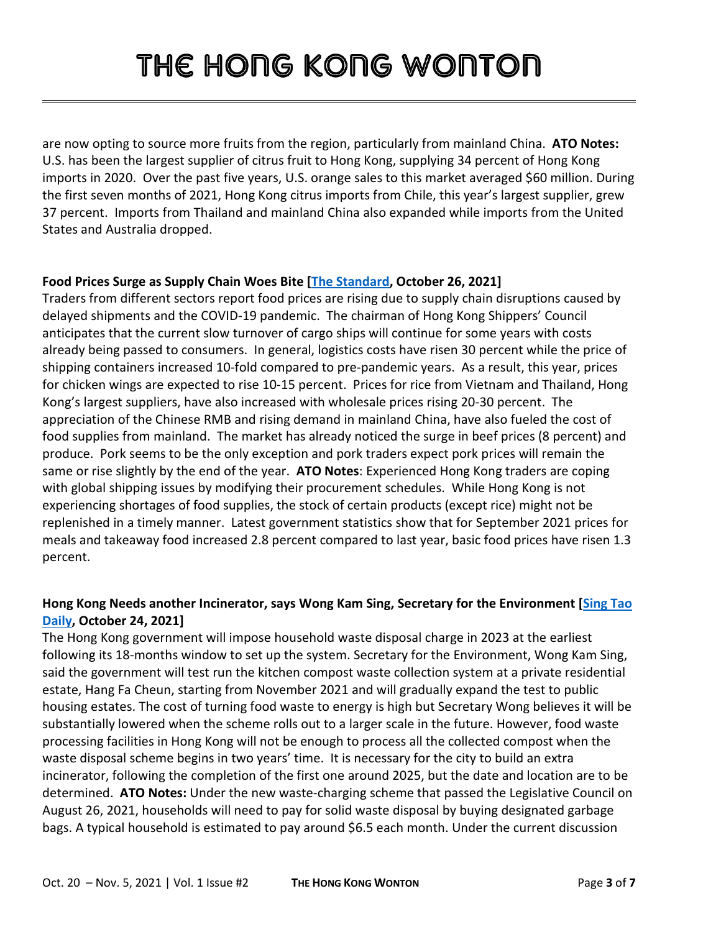are now opting to source more fruits from the region, particularly from mainland China. **ATO Notes:** U.S. has been the largest supplier of citrus fruit to Hong Kong, supplying 34 percent of Hong Kong imports in 2020. Over the past five years, U.S. orange sales to this market averaged \$60 million. During the first seven months of 2021, Hong Kong citrus imports from Chile, this year's largest supplier, grew 37 percent. Imports from Thailand and mainland China also expanded while imports from the United States and Australia dropped.

#### **Food Prices Surge as Supply Chain Woes Bite [\[The Standard,](https://gcc02.safelinks.protection.outlook.com/?url=https%3A%2F%2Fwww.thestandard.com.hk%2Fsection-news%2Fsection%2F11%2F235404%2FFood-prices-surge-as-supply-chain-woes-bite&data=04%7C01%7CCleverJA%40state.gov%7C86d1f5bc68874e0885dd08d9983e6176%7C66cf50745afe48d1a691a12b2121f44b%7C0%7C0%7C637708215957612394%7CUnknown%7CTWFpbGZsb3d8eyJWIjoiMC4wLjAwMDAiLCJQIjoiV2luMzIiLCJBTiI6Ik1haWwiLCJXVCI6Mn0%3D%7C1000&sdata=e8ESqd6coPJqBZ8xWDxb6n3nDH9eRpN9K%2FlU9tRfg4o%3D&reserved=0) October 26, 2021]**

Traders from different sectors report food prices are rising due to supply chain disruptions caused by delayed shipments and the COVID-19 pandemic. The chairman of Hong Kong Shippers' Council anticipates that the current slow turnover of cargo ships will continue for some years with costs already being passed to consumers. In general, logistics costs have risen 30 percent while the price of shipping containers increased 10-fold compared to pre-pandemic years. As a result, this year, prices for chicken wings are expected to rise 10-15 percent. Prices for rice from Vietnam and Thailand, Hong Kong's largest suppliers, have also increased with wholesale prices rising 20-30 percent. The appreciation of the Chinese RMB and rising demand in mainland China, have also fueled the cost of food supplies from mainland. The market has already noticed the surge in beef prices (8 percent) and produce. Pork seems to be the only exception and pork traders expect pork prices will remain the same or rise slightly by the end of the year. **ATO Notes**: Experienced Hong Kong traders are coping with global shipping issues by modifying their procurement schedules. While Hong Kong is not experiencing shortages of food supplies, the stock of certain products (except rice) might not be replenished in a timely manner. Latest government statistics show that for September 2021 prices for meals and takeaway food increased 2.8 percent compared to last year, basic food prices have risen 1.3 percent.

### **Hong Kong Needs another Incinerator, says Wong Kam Sing, Secretary for the Environment [\[Sing Tao](https://gcc02.safelinks.protection.outlook.com/?url=https%3A%2F%2Fwww.singtaousa.com%2F2021-10-24%2F%25E5%25B0%2588%25E8%25A8%25AA%25EF%25BD%259C%25E9%25BB%2583%25E9%258C%25A6%25E6%2598%259F%25E6%258C%2587%25E7%25AC%25AC%25E4%25BA%258C%25E5%2580%258B%25E7%2584%259A%25E5%258C%2596%25E7%2588%2590%25E6%2598%25AF%25E5%25BF%2585%25E7%2584%25B6%2F3714711&data=04%7C01%7CCleverJA%40state.gov%7C85503cdbcaf74e73e06b08d99e789070%7C66cf50745afe48d1a691a12b2121f44b%7C0%7C0%7C637715062918783264%7CUnknown%7CTWFpbGZsb3d8eyJWIjoiMC4wLjAwMDAiLCJQIjoiV2luMzIiLCJBTiI6Ik1haWwiLCJXVCI6Mn0%3D%7C1000&sdata=0UnPzE%2B3OCZLB2eI9z3GTIlC6v7A0WaAz5j9dy%2FdTJQ%3D&reserved=0)  [Daily,](https://gcc02.safelinks.protection.outlook.com/?url=https%3A%2F%2Fwww.singtaousa.com%2F2021-10-24%2F%25E5%25B0%2588%25E8%25A8%25AA%25EF%25BD%259C%25E9%25BB%2583%25E9%258C%25A6%25E6%2598%259F%25E6%258C%2587%25E7%25AC%25AC%25E4%25BA%258C%25E5%2580%258B%25E7%2584%259A%25E5%258C%2596%25E7%2588%2590%25E6%2598%25AF%25E5%25BF%2585%25E7%2584%25B6%2F3714711&data=04%7C01%7CCleverJA%40state.gov%7C85503cdbcaf74e73e06b08d99e789070%7C66cf50745afe48d1a691a12b2121f44b%7C0%7C0%7C637715062918783264%7CUnknown%7CTWFpbGZsb3d8eyJWIjoiMC4wLjAwMDAiLCJQIjoiV2luMzIiLCJBTiI6Ik1haWwiLCJXVCI6Mn0%3D%7C1000&sdata=0UnPzE%2B3OCZLB2eI9z3GTIlC6v7A0WaAz5j9dy%2FdTJQ%3D&reserved=0) October 24, 2021]**

The Hong Kong government will impose household waste disposal charge in 2023 at the earliest following its 18-months window to set up the system. Secretary for the Environment, Wong Kam Sing, said the government will test run the kitchen compost waste collection system at a private residential estate, Hang Fa Cheun, starting from November 2021 and will gradually expand the test to public housing estates. The cost of turning food waste to energy is high but Secretary Wong believes it will be substantially lowered when the scheme rolls out to a larger scale in the future. However, food waste processing facilities in Hong Kong will not be enough to process all the collected compost when the waste disposal scheme begins in two years' time. It is necessary for the city to build an extra incinerator, following the completion of the first one around 2025, but the date and location are to be determined. **ATO Notes:** Under the new waste-charging scheme that passed the Legislative Council on August 26, 2021, households will need to pay for solid waste disposal by buying designated garbage bags. A typical household is estimated to pay around \$6.5 each month. Under the current discussion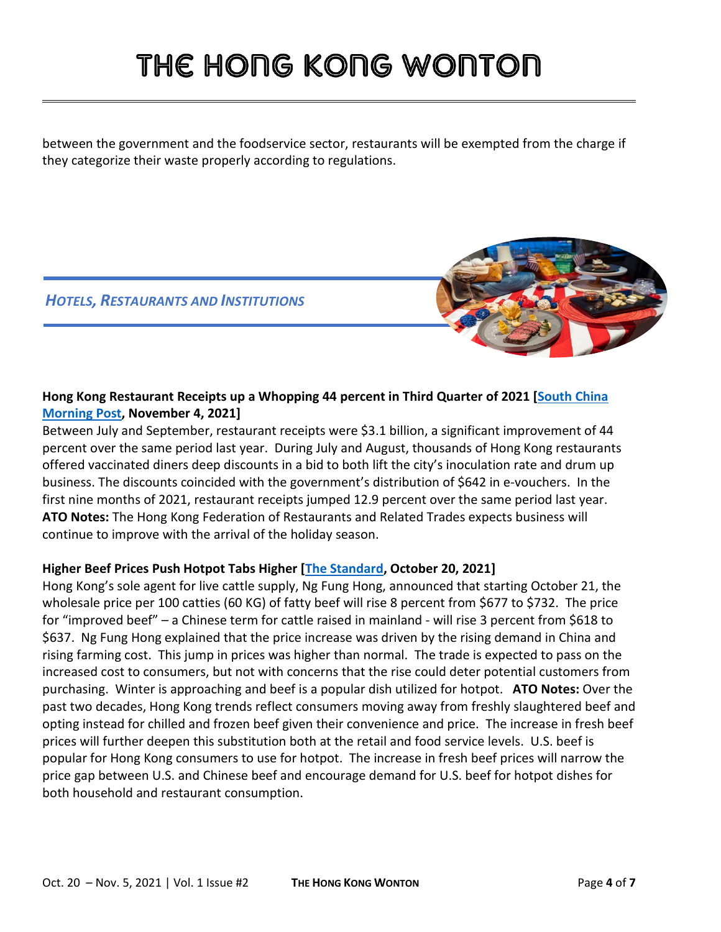between the government and the foodservice sector, restaurants will be exempted from the charge if they categorize their waste properly according to regulations.

### *HOTELS, RESTAURANTS AND INSTITUTIONS*

### **Hong Kong Restaurant Receipts up a Whopping 44 percent in Third Quarter of 2021 [\[South China](https://www.scmp.com/news/hong-kong/hong-kong-economy/article/3154859/hong-kong-restaurant-receipts-whopping-44-cent)  [Morning Post,](https://www.scmp.com/news/hong-kong/hong-kong-economy/article/3154859/hong-kong-restaurant-receipts-whopping-44-cent) November 4, 2021]**

Between July and September, restaurant receipts were \$3.1 billion, a significant improvement of 44 percent over the same period last year. During July and August, thousands of Hong Kong restaurants offered vaccinated diners deep discounts in a bid to both lift the city's inoculation rate and drum up business. The discounts coincided with the government's distribution of \$642 in e-vouchers. In the first nine months of 2021, restaurant receipts jumped 12.9 percent over the same period last year. **ATO Notes:** The Hong Kong Federation of Restaurants and Related Trades expects business will continue to improve with the arrival of the holiday season.

#### **Higher Beef Prices Push Hotpot Tabs Higher [\[The Standard,](https://www.thestandard.com.hk/section-news/section/11/235220/Beef-prices-push-hotpot-tabs-higher) October 20, 2021]**

Hong Kong's sole agent for live cattle supply, Ng Fung Hong, announced that starting October 21, the wholesale price per 100 catties (60 KG) of fatty beef will rise 8 percent from \$677 to \$732. The price for "improved beef" – a Chinese term for cattle raised in mainland - will rise 3 percent from \$618 to \$637. Ng Fung Hong explained that the price increase was driven by the rising demand in China and rising farming cost. This jump in prices was higher than normal. The trade is expected to pass on the increased cost to consumers, but not with concerns that the rise could deter potential customers from purchasing. Winter is approaching and beef is a popular dish utilized for hotpot. **ATO Notes:** Over the past two decades, Hong Kong trends reflect consumers moving away from freshly slaughtered beef and opting instead for chilled and frozen beef given their convenience and price. The increase in fresh beef prices will further deepen this substitution both at the retail and food service levels. U.S. beef is popular for Hong Kong consumers to use for hotpot. The increase in fresh beef prices will narrow the price gap between U.S. and Chinese beef and encourage demand for U.S. beef for hotpot dishes for both household and restaurant consumption.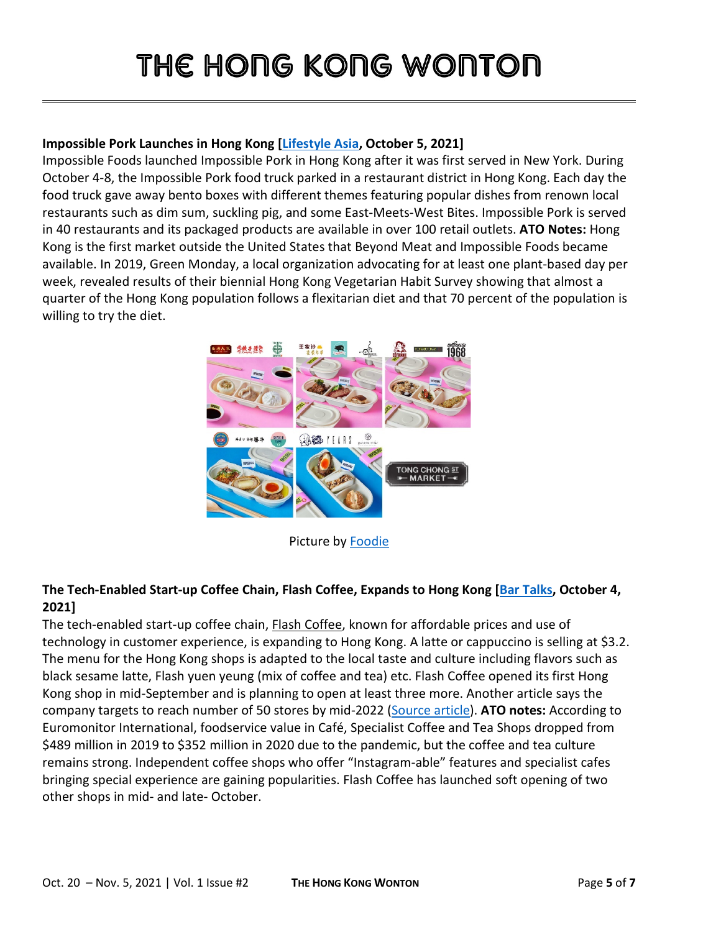#### **Impossible Pork Launches in Hong Kong [\[Lifestyle Asia,](https://gcc02.safelinks.protection.outlook.com/?url=https%3A%2F%2Fwww.lifestyleasia.com%2Fhk%2Ffood-drink%2Fdining%2Fimpossible-pork-launches-in-hong-kong%2F&data=04%7C01%7CCleverJA%40state.gov%7C85503cdbcaf74e73e06b08d99e789070%7C66cf50745afe48d1a691a12b2121f44b%7C0%7C0%7C637715062918753403%7CUnknown%7CTWFpbGZsb3d8eyJWIjoiMC4wLjAwMDAiLCJQIjoiV2luMzIiLCJBTiI6Ik1haWwiLCJXVCI6Mn0%3D%7C1000&sdata=yhH8kiX02z8ofCbh3OwKygDZ%2BLWSi1tmk7UIKpgwSlg%3D&reserved=0) October 5, 2021]**

Impossible Foods launched Impossible Pork in Hong Kong after it was first served in New York. During October 4-8, the Impossible Pork food truck parked in a restaurant district in Hong Kong. Each day the food truck gave away bento boxes with different themes featuring popular dishes from renown local restaurants such as dim sum, suckling pig, and some East-Meets-West Bites. Impossible Pork is served in 40 restaurants and its packaged products are available in over 100 retail outlets. **ATO Notes:** Hong Kong is the first market outside the United States that Beyond Meat and Impossible Foods became available. In 2019, Green Monday, a local organization advocating for at least one plant-based day per week, revealed results of their biennial Hong Kong Vegetarian Habit Survey showing that almost a quarter of the Hong Kong population follows a flexitarian diet and that 70 percent of the population is willing to try the diet.



Picture by [Foodie](https://www.afoodieworld.com/foodie/new-restaurants-pop-ups-amp-menus-october-2021)

#### **The Tech-Enabled Start-up Coffee Chain, Flash Coffee, Expands to Hong Kong [\[Bar Talks,](https://gcc02.safelinks.protection.outlook.com/?url=https%3A%2F%2Fbartalks.net%2Findonesian-startup-flash-coffee-expands-to-hong-kong%2F&data=04%7C01%7CCleverJA%40state.gov%7C85503cdbcaf74e73e06b08d99e789070%7C66cf50745afe48d1a691a12b2121f44b%7C0%7C0%7C637715062918763359%7CUnknown%7CTWFpbGZsb3d8eyJWIjoiMC4wLjAwMDAiLCJQIjoiV2luMzIiLCJBTiI6Ik1haWwiLCJXVCI6Mn0%3D%7C1000&sdata=CDUpPlvOFjANeeD7z4iuH3GspMy40TFTA3dCXAM203k%3D&reserved=0) October 4, 2021]**

The tech-enabled start-up coffee chain, **Flash Coffee**, known for affordable prices and use of technology in customer experience, is expanding to Hong Kong. A latte or cappuccino is selling at \$3.2. The menu for the Hong Kong shops is adapted to the local taste and culture including flavors such as black sesame latte, Flash yuen yeung (mix of coffee and tea) etc. Flash Coffee opened its first Hong Kong shop in mid-September and is planning to open at least three more. Another article says the company targets to reach number of 50 stores by mid-2022 [\(Source article\)](https://gcc02.safelinks.protection.outlook.com/?url=https%3A%2F%2Fretailinasia.com%2Fin-markets%2Fflash-coffee-enters-hong-kong%2F&data=04%7C01%7CCleverJA%40state.gov%7C85503cdbcaf74e73e06b08d99e789070%7C66cf50745afe48d1a691a12b2121f44b%7C0%7C0%7C637715062918773307%7CUnknown%7CTWFpbGZsb3d8eyJWIjoiMC4wLjAwMDAiLCJQIjoiV2luMzIiLCJBTiI6Ik1haWwiLCJXVCI6Mn0%3D%7C1000&sdata=IlwohiOvpdpMj0DHijbwiWuzumcVGR%2BCbmCLRWU%2FcLs%3D&reserved=0). **ATO notes:** According to Euromonitor International, foodservice value in Café, Specialist Coffee and Tea Shops dropped from \$489 million in 2019 to \$352 million in 2020 due to the pandemic, but the coffee and tea culture remains strong. Independent coffee shops who offer "Instagram-able" features and specialist cafes bringing special experience are gaining popularities. Flash Coffee has launched soft opening of two other shops in mid- and late- October.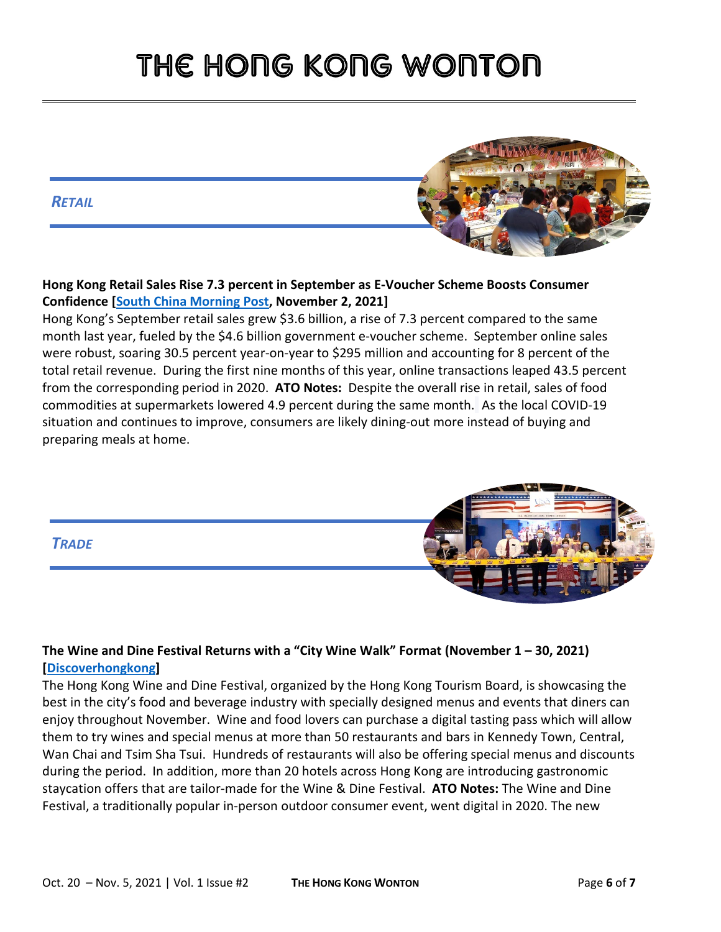#### *RETAIL*



Hong Kong's September retail sales grew \$3.6 billion, a rise of 7.3 percent compared to the same month last year, fueled by the \$4.6 billion government e-voucher scheme. September online sales were robust, soaring 30.5 percent year-on-year to \$295 million and accounting for 8 percent of the total retail revenue. During the first nine months of this year, online transactions leaped 43.5 percent from the corresponding period in 2020. **ATO Notes:** Despite the overall rise in retail, sales of food commodities at supermarkets lowered 4.9 percent during the same month. As the local COVID-19 situation and continues to improve, consumers are likely dining-out more instead of buying and preparing meals at home.



### **The Wine and Dine Festival Returns with a "City Wine Walk" Format (November 1 – 30, 2021) [\[Discoverhongkong\]](https://www.discoverhongkong.com/eng/what-s-new/events/wine-dine-festival.html)**

The Hong Kong Wine and Dine Festival, organized by the Hong Kong Tourism Board, is showcasing the best in the city's food and beverage industry with specially designed menus and events that diners can enjoy throughout November. Wine and food lovers can purchase a digital tasting pass which will allow them to try wines and special menus at more than 50 restaurants and bars in Kennedy Town, Central, Wan Chai and Tsim Sha Tsui. Hundreds of restaurants will also be offering special menus and discounts during the period. In addition, more than 20 hotels across Hong Kong are introducing gastronomic staycation offers that are tailor-made for the Wine & Dine Festival. **ATO Notes:** The Wine and Dine Festival, a traditionally popular in-person outdoor consumer event, went digital in 2020. The new